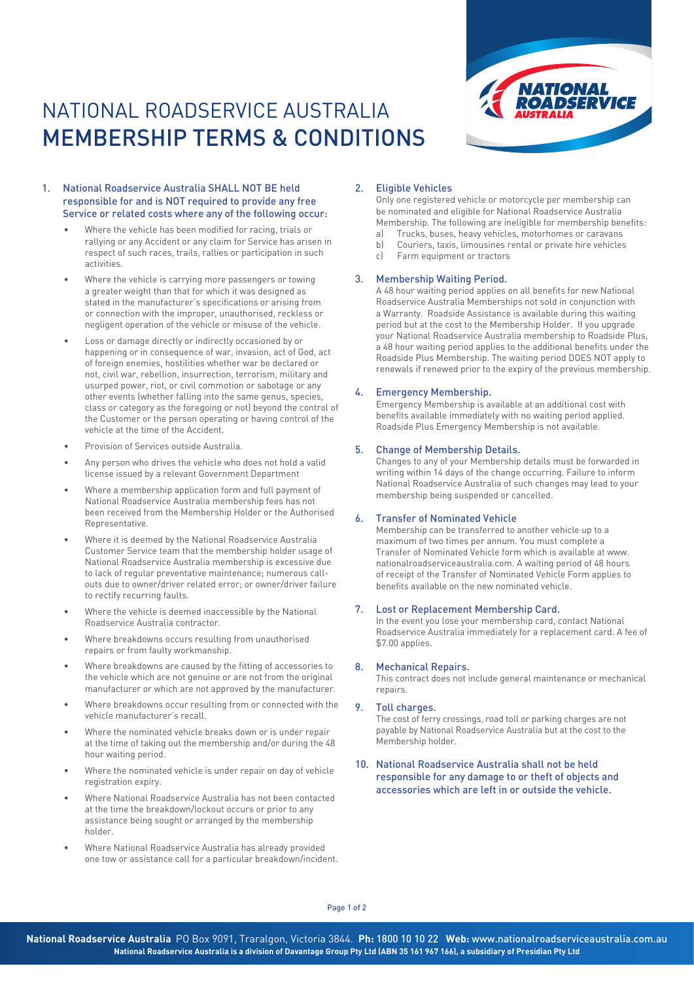# NATIONAL ROADSERVICE AUSTRALIA MEMBERSHIP TERMS & CONDITIONS



# 1. National Roadservice Australia SHALL NOT BE held responsible for and is NOT required to provide any free Service or related costs where any of the following occur:

- Where the vehicle has been modified for racing, trials or rallying or any Accident or any claim for Service has arisen in respect of such races, trails, rallies or participation in such activities.
- Where the vehicle is carrying more passengers or towing a greater weight than that for which it was designed as stated in the manufacturer's specifications or arising from or connection with the improper, unauthorised, reckless or negligent operation of the vehicle or misuse of the vehicle.
- Loss or damage directly or indirectly occasioned by or happening or in consequence of war, invasion, act of God, act of foreign enemies, hostilities whether war be declared or not, civil war, rebellion, insurrection, terrorism, military and usurped power, riot, or civil commotion or sabotage or any other events (whether falling into the same genus, species, class or category as the foregoing or not) beyond the control of the Customer or the person operating or having control of the vehicle at the time of the Accident.
- Provision of Services outside Australia.
- Any person who drives the vehicle who does not hold a valid license issued by a relevant Government Department
- Where a membership application form and full payment of National Roadservice Australia membership fees has not been received from the Membership Holder or the Authorised Representative.
- Where it is deemed by the National Roadservice Australia Customer Service team that the membership holder usage of National Roadservice Australia membership is excessive due to lack of regular preventative maintenance; numerous callouts due to owner/driver related error; or owner/driver failure to rectify recurring faults.
- Where the vehicle is deemed inaccessible by the National Roadservice Australia contractor.
- Where breakdowns occurs resulting from unauthorised repairs or from faulty workmanship.
- Where breakdowns are caused by the fitting of accessories to the vehicle which are not genuine or are not from the original manufacturer or which are not approved by the manufacturer.
- Where breakdowns occur resulting from or connected with the vehicle manufacturer's recall.
- Where the nominated vehicle breaks down or is under repair at the time of taking out the membership and/or during the 48 hour waiting period.
- Where the nominated vehicle is under repair on day of vehicle registration expiry.
- Where National Roadservice Australia has not been contacted at the time the breakdown/lockout occurs or prior to any assistance being sought or arranged by the membership holder.
- Where National Roadservice Australia has already provided one tow or assistance call for a particular breakdown/incident.

## 2. Eligible Vehicles

Only one registered vehicle or motorcycle per membership can be nominated and eligible for National Roadservice Australia Membership. The following are ineligible for membership benefits:

- a) Trucks, buses, heavy vehicles, motorhomes or caravans
- b) Couriers, taxis, limousines rental or private hire vehicles
- c) Farm equipment or tractors

# 3. Membership Waiting Period.

A 48 hour waiting period applies on all benefits for new National Roadservice Australia Memberships not sold in conjunction with a Warranty. Roadside Assistance is available during this waiting period but at the cost to the Membership Holder. If you upgrade your National Roadservice Australia membership to Roadside Plus, a 48 hour waiting period applies to the additional benefits under the Roadside Plus Membership. The waiting period DOES NOT apply to renewals if renewed prior to the expiry of the previous membership.

## 4. Emergency Membership.

Emergency Membership is available at an additional cost with benefits available immediately with no waiting period applied. Roadside Plus Emergency Membership is not available.

## 5. Change of Membership Details.

Changes to any of your Membership details must be forwarded in writing within 14 days of the change occurring. Failure to inform National Roadservice Australia of such changes may lead to your membership being suspended or cancelled.

# 6. Transfer of Nominated Vehicle

Membership can be transferred to another vehicle up to a maximum of two times per annum. You must complete a Transfer of Nominated Vehicle form which is available at www. nationalroadserviceaustralia.com. A waiting period of 48 hours of receipt of the Transfer of Nominated Vehicle Form applies to benefits available on the new nominated vehicle.

#### 7. Lost or Replacement Membership Card.

In the event you lose your membership card, contact National Roadservice Australia immediately for a replacement card. A fee of \$7.00 applies.

#### 8. Mechanical Repairs.

This contract does not include general maintenance or mechanical repairs.

## 9. Toll charges.

The cost of ferry crossings, road toll or parking charges are not payable by National Roadservice Australia but at the cost to the Membership holder.

10. National Roadservice Australia shall not be held responsible for any damage to or theft of objects and accessories which are left in or outside the vehicle.